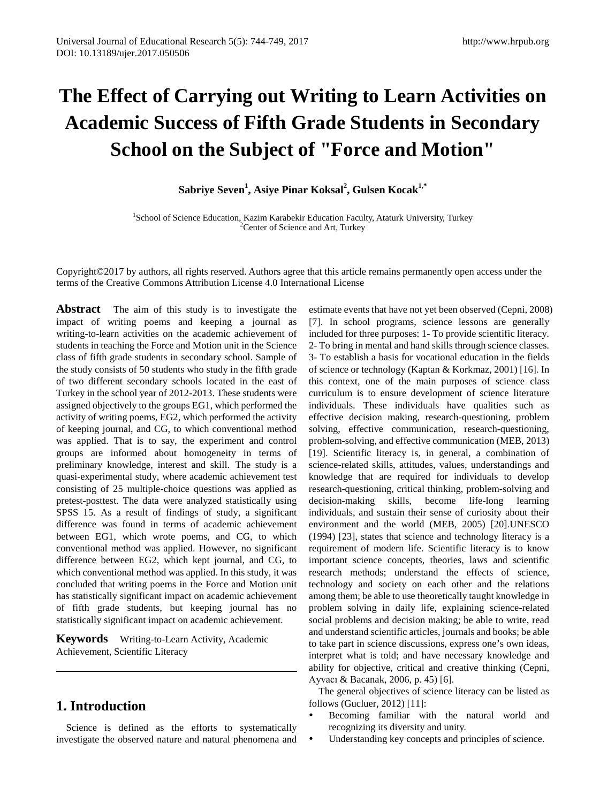# **The Effect of Carrying out Writing to Learn Activities on Academic Success of Fifth Grade Students in Secondary School on the Subject of "Force and Motion"**

 $S$ abriye Seven<sup>1</sup>, Asiye Pinar Koksal<sup>2</sup>, Gulsen Kocak<sup>1,\*</sup>

<sup>1</sup>School of Science Education, Kazim Karabekir Education Faculty, Ataturk University, Turkey <sup>2</sup> Center of Science and Art, Turkey

Copyright©2017 by authors, all rights reserved. Authors agree that this article remains permanently open access under the terms of the Creative Commons Attribution License 4.0 International License

**Abstract** The aim of this study is to investigate the impact of writing poems and keeping a journal as writing-to-learn activities on the academic achievement of students in teaching the Force and Motion unit in the Science class of fifth grade students in secondary school. Sample of the study consists of 50 students who study in the fifth grade of two different secondary schools located in the east of Turkey in the school year of 2012-2013. These students were assigned objectively to the groups EG1, which performed the activity of writing poems, EG2, which performed the activity of keeping journal, and CG, to which conventional method was applied. That is to say, the experiment and control groups are informed about homogeneity in terms of preliminary knowledge, interest and skill. The study is a quasi-experimental study, where academic achievement test consisting of 25 multiple-choice questions was applied as pretest-posttest. The data were analyzed statistically using SPSS 15. As a result of findings of study, a significant difference was found in terms of academic achievement between EG1, which wrote poems, and CG, to which conventional method was applied. However, no significant difference between EG2, which kept journal, and CG, to which conventional method was applied. In this study, it was concluded that writing poems in the Force and Motion unit has statistically significant impact on academic achievement of fifth grade students, but keeping journal has no statistically significant impact on academic achievement.

**Keywords** Writing-to-Learn Activity, Academic Achievement, Scientific Literacy

## **1. Introduction**

Science is defined as the efforts to systematically investigate the observed nature and natural phenomena and estimate events that have not yet been observed (Cepni, 2008) [7]. In school programs, science lessons are generally included for three purposes: 1- To provide scientific literacy. 2- To bring in mental and hand skills through science classes. 3- To establish a basis for vocational education in the fields of science or technology (Kaptan & Korkmaz, 2001) [16]. In this context, one of the main purposes of science class curriculum is to ensure development of science literature individuals. These individuals have qualities such as effective decision making, research-questioning, problem solving, effective communication, research-questioning, problem-solving, and effective communication (MEB, 2013) [19]. Scientific literacy is, in general, a combination of science-related skills, attitudes, values, understandings and knowledge that are required for individuals to develop research-questioning, critical thinking, problem-solving and decision-making skills, become life-long learning individuals, and sustain their sense of curiosity about their environment and the world (MEB, 2005) [20].UNESCO (1994) [23], states that science and technology literacy is a requirement of modern life. Scientific literacy is to know important science concepts, theories, laws and scientific research methods; understand the effects of science, technology and society on each other and the relations among them; be able to use theoretically taught knowledge in problem solving in daily life, explaining science-related social problems and decision making; be able to write, read and understand scientific articles, journals and books; be able to take part in science discussions, express one's own ideas, interpret what is told; and have necessary knowledge and ability for objective, critical and creative thinking (Cepni, Ayvacı & Bacanak, 2006, p. 45) [6].

The general objectives of science literacy can be listed as follows (Gucluer, 2012) [11]:

- Becoming familiar with the natural world and recognizing its diversity and unity.
- Understanding key concepts and principles of science.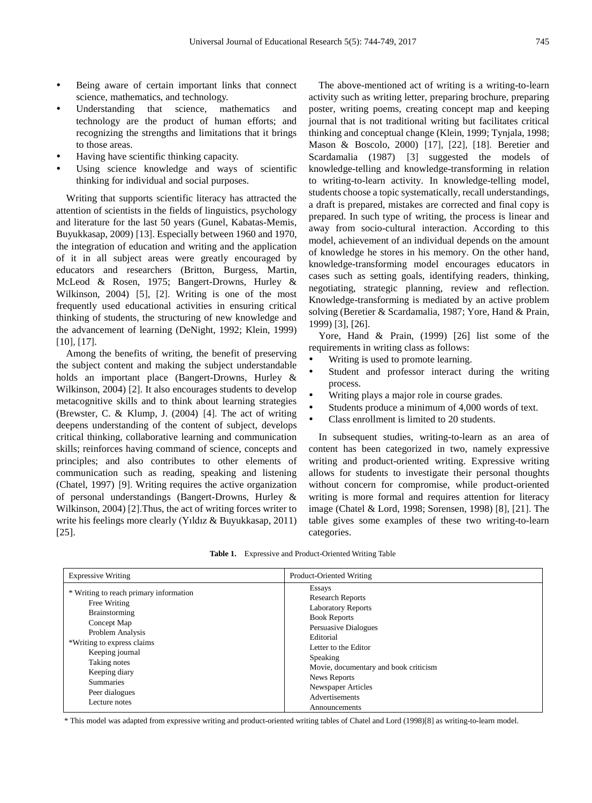- Being aware of certain important links that connect science, mathematics, and technology.
- Understanding that science, mathematics and technology are the product of human efforts; and recognizing the strengths and limitations that it brings to those areas.
- Having have scientific thinking capacity.
- Using science knowledge and ways of scientific thinking for individual and social purposes.

Writing that supports scientific literacy has attracted the attention of scientists in the fields of linguistics, psychology and literature for the last 50 years (Gunel, Kabatas-Memis, Buyukkasap, 2009) [13]. Especially between 1960 and 1970, the integration of education and writing and the application of it in all subject areas were greatly encouraged by educators and researchers (Britton, Burgess, Martin, McLeod & Rosen, 1975; Bangert-Drowns, Hurley & Wilkinson, 2004) [5], [2]. Writing is one of the most frequently used educational activities in ensuring critical thinking of students, the structuring of new knowledge and the advancement of learning (DeNight, 1992; Klein, 1999) [10], [17].

Among the benefits of writing, the benefit of preserving the subject content and making the subject understandable holds an important place (Bangert-Drowns, Hurley & Wilkinson, 2004) [2]. It also encourages students to develop metacognitive skills and to think about learning strategies (Brewster, C. & Klump, J. (2004) [4]. The act of writing deepens understanding of the content of subject, develops critical thinking, collaborative learning and communication skills; reinforces having command of science, concepts and principles; and also contributes to other elements of communication such as reading, speaking and listening (Chatel, 1997) [9]. Writing requires the active organization of personal understandings (Bangert-Drowns, Hurley & Wilkinson, 2004) [2].Thus, the act of writing forces writer to write his feelings more clearly (Yıldız & Buyukkasap, 2011) [25].

The above-mentioned act of writing is a writing-to-learn activity such as writing letter, preparing brochure, preparing poster, writing poems, creating concept map and keeping journal that is not traditional writing but facilitates critical thinking and conceptual change (Klein, 1999; Tynjala, 1998; Mason & Boscolo, 2000) [17], [22], [18]. Beretier and Scardamalia (1987) [3] suggested the models of knowledge-telling and knowledge-transforming in relation to writing-to-learn activity. In knowledge-telling model, students choose a topic systematically, recall understandings, a draft is prepared, mistakes are corrected and final copy is prepared. In such type of writing, the process is linear and away from socio-cultural interaction. According to this model, achievement of an individual depends on the amount of knowledge he stores in his memory. On the other hand, knowledge-transforming model encourages educators in cases such as setting goals, identifying readers, thinking, negotiating, strategic planning, review and reflection. Knowledge-transforming is mediated by an active problem solving (Beretier & Scardamalia, 1987; Yore, Hand & Prain, 1999) [3], [26].

Yore, Hand & Prain, (1999) [26] list some of the requirements in writing class as follows:

- Writing is used to promote learning.
- Student and professor interact during the writing process.
- Writing plays a major role in course grades.
- Students produce a minimum of 4,000 words of text.
- Class enrollment is limited to 20 students.

In subsequent studies, writing-to-learn as an area of content has been categorized in two, namely expressive writing and product-oriented writing. Expressive writing allows for students to investigate their personal thoughts without concern for compromise, while product-oriented writing is more formal and requires attention for literacy image (Chatel & Lord, 1998; Sorensen, 1998) [8], [21]. The table gives some examples of these two writing-to-learn categories.

|  |  | <b>Table 1.</b> Expressive and Product-Oriented Writing Table |  |
|--|--|---------------------------------------------------------------|--|
|--|--|---------------------------------------------------------------|--|

| Essays<br>* Writing to reach primary information<br><b>Research Reports</b><br>Free Writing<br><b>Laboratory Reports</b><br>Brainstorming<br><b>Book Reports</b><br>Concept Map<br>Persuasive Dialogues<br>Problem Analysis<br>Editorial<br>*Writing to express claims<br>Letter to the Editor<br>Keeping journal<br>Speaking<br>Taking notes<br>Movie, documentary and book criticism<br>Keeping diary<br>News Reports<br><b>Summaries</b><br><b>Newspaper Articles</b><br>Peer dialogues<br>Advertisements<br>Lecture notes | <b>Expressive Writing</b> | Product-Oriented Writing |
|-------------------------------------------------------------------------------------------------------------------------------------------------------------------------------------------------------------------------------------------------------------------------------------------------------------------------------------------------------------------------------------------------------------------------------------------------------------------------------------------------------------------------------|---------------------------|--------------------------|
|                                                                                                                                                                                                                                                                                                                                                                                                                                                                                                                               |                           | Announcements            |

\* This model was adapted from expressive writing and product-oriented writing tables of Chatel and Lord (1998)[8] as writing-to-learn model.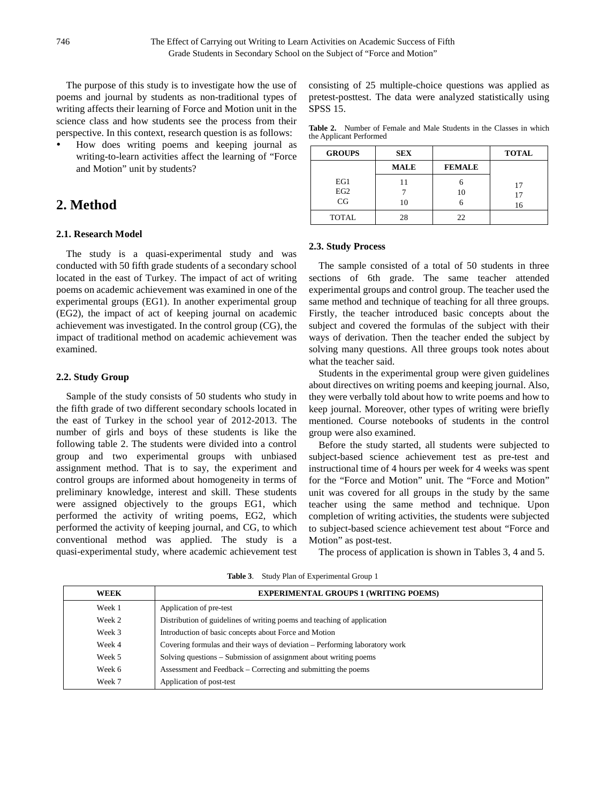The purpose of this study is to investigate how the use of poems and journal by students as non-traditional types of writing affects their learning of Force and Motion unit in the science class and how students see the process from their perspective. In this context, research question is as follows:

 How does writing poems and keeping journal as writing-to-learn activities affect the learning of "Force and Motion" unit by students?

# **2. Method**

#### **2.1. Research Model**

The study is a quasi-experimental study and was conducted with 50 fifth grade students of a secondary school located in the east of Turkey. The impact of act of writing poems on academic achievement was examined in one of the experimental groups (EG1). In another experimental group (EG2), the impact of act of keeping journal on academic achievement was investigated. In the control group (CG), the impact of traditional method on academic achievement was examined.

#### **2.2. Study Group**

Sample of the study consists of 50 students who study in the fifth grade of two different secondary schools located in the east of Turkey in the school year of 2012-2013. The number of girls and boys of these students is like the following table 2. The students were divided into a control group and two experimental groups with unbiased assignment method. That is to say, the experiment and control groups are informed about homogeneity in terms of preliminary knowledge, interest and skill. These students were assigned objectively to the groups EG1, which performed the activity of writing poems, EG2, which performed the activity of keeping journal, and CG, to which conventional method was applied. The study is a quasi-experimental study, where academic achievement test consisting of 25 multiple-choice questions was applied as pretest-posttest. The data were analyzed statistically using SPSS 15.

**Table 2.** Number of Female and Male Students in the Classes in which the Applicant Performed

| <b>GROUPS</b>                | <b>SEX</b>  |               | <b>TOTAL</b>   |
|------------------------------|-------------|---------------|----------------|
|                              | <b>MALE</b> | <b>FEMALE</b> |                |
| EG1<br>EG <sub>2</sub><br>CG | 10          | 10            | 17<br>17<br>16 |
| <b>TOTAL</b>                 | 28          | 22.           |                |

#### **2.3. Study Process**

The sample consisted of a total of 50 students in three sections of 6th grade. The same teacher attended experimental groups and control group. The teacher used the same method and technique of teaching for all three groups. Firstly, the teacher introduced basic concepts about the subject and covered the formulas of the subject with their ways of derivation. Then the teacher ended the subject by solving many questions. All three groups took notes about what the teacher said.

Students in the experimental group were given guidelines about directives on writing poems and keeping journal. Also, they were verbally told about how to write poems and how to keep journal. Moreover, other types of writing were briefly mentioned. Course notebooks of students in the control group were also examined.

Before the study started, all students were subjected to subject-based science achievement test as pre-test and instructional time of 4 hours per week for 4 weeks was spent for the "Force and Motion" unit. The "Force and Motion" unit was covered for all groups in the study by the same teacher using the same method and technique. Upon completion of writing activities, the students were subjected to subject-based science achievement test about "Force and Motion" as post-test.

The process of application is shown in Tables 3, 4 and 5.

| WEEK   | <b>EXPERIMENTAL GROUPS 1 (WRITING POEMS)</b>                               |
|--------|----------------------------------------------------------------------------|
| Week 1 | Application of pre-test                                                    |
| Week 2 | Distribution of guidelines of writing poems and teaching of application    |
| Week 3 | Introduction of basic concepts about Force and Motion                      |
| Week 4 | Covering formulas and their ways of deviation – Performing laboratory work |
| Week 5 | Solving questions – Submission of assignment about writing poems           |
| Week 6 | Assessment and Feedback – Correcting and submitting the poems              |
| Week 7 | Application of post-test                                                   |

**Table 3**. Study Plan of Experimental Group 1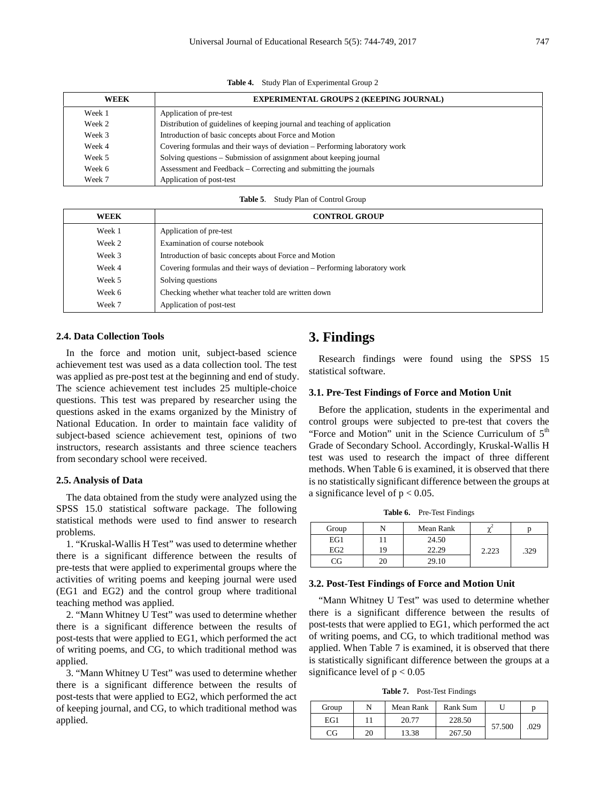**Table 4.** Study Plan of Experimental Group 2

| <b>WEEK</b> | <b>EXPERIMENTAL GROUPS 2 (KEEPING JOURNAL)</b>                             |
|-------------|----------------------------------------------------------------------------|
| Week 1      | Application of pre-test                                                    |
| Week 2      | Distribution of guidelines of keeping journal and teaching of application  |
| Week 3      | Introduction of basic concepts about Force and Motion                      |
| Week 4      | Covering formulas and their ways of deviation – Performing laboratory work |
| Week 5      | Solving questions – Submission of assignment about keeping journal         |
| Week 6      | Assessment and Feedback – Correcting and submitting the journals           |
| Week 7      | Application of post-test                                                   |

**Table 5**. Study Plan of Control Group

| <b>WEEK</b> | <b>CONTROL GROUP</b>                                                       |
|-------------|----------------------------------------------------------------------------|
| Week 1      | Application of pre-test                                                    |
| Week 2      | Examination of course notebook                                             |
| Week 3      | Introduction of basic concepts about Force and Motion                      |
| Week 4      | Covering formulas and their ways of deviation – Performing laboratory work |
| Week 5      | Solving questions                                                          |
| Week 6      | Checking whether what teacher told are written down                        |
| Week 7      | Application of post-test                                                   |

#### **2.4. Data Collection Tools**

In the force and motion unit, subject-based science achievement test was used as a data collection tool. The test was applied as pre-post test at the beginning and end of study. The science achievement test includes 25 multiple-choice questions. This test was prepared by researcher using the questions asked in the exams organized by the Ministry of National Education. In order to maintain face validity of subject-based science achievement test, opinions of two instructors, research assistants and three science teachers from secondary school were received.

#### **2.5. Analysis of Data**

The data obtained from the study were analyzed using the SPSS 15.0 statistical software package. The following statistical methods were used to find answer to research problems.

1. "Kruskal-Wallis H Test" was used to determine whether there is a significant difference between the results of pre-tests that were applied to experimental groups where the activities of writing poems and keeping journal were used (EG1 and EG2) and the control group where traditional teaching method was applied.

2. "Mann Whitney U Test" was used to determine whether there is a significant difference between the results of post-tests that were applied to EG1, which performed the act of writing poems, and CG, to which traditional method was applied.

3. "Mann Whitney U Test" was used to determine whether there is a significant difference between the results of post-tests that were applied to EG2, which performed the act of keeping journal, and CG, to which traditional method was applied.

### **3. Findings**

Research findings were found using the SPSS 15 statistical software.

#### **3.1. Pre-Test Findings of Force and Motion Unit**

Before the application, students in the experimental and control groups were subjected to pre-test that covers the "Force and Motion" unit in the Science Curriculum of  $5<sup>th</sup>$ Grade of Secondary School. Accordingly, Kruskal-Wallis H test was used to research the impact of three different methods. When Table 6 is examined, it is observed that there is no statistically significant difference between the groups at a significance level of  $p < 0.05$ .

**Table 6.** Pre-Test Findings

| Group           |    | Mean Rank | $\sim$ |      |
|-----------------|----|-----------|--------|------|
| EG1             |    | 24.50     |        |      |
| EG <sub>2</sub> | 19 | 22.29     | 2.223  | .329 |
| CG              |    | 29.10     |        |      |

#### **3.2. Post-Test Findings of Force and Motion Unit**

"Mann Whitney U Test" was used to determine whether there is a significant difference between the results of post-tests that were applied to EG1, which performed the act of writing poems, and CG, to which traditional method was applied. When Table 7 is examined, it is observed that there is statistically significant difference between the groups at a significance level of  $p < 0.05$ 

**Table 7.** Post-Test Findings

| Group |    | Mean Rank | Rank Sum |        | n    |
|-------|----|-----------|----------|--------|------|
| EG1   |    | 20.77     | 228.50   | 57.500 |      |
| CG    | 20 | 13.38     | 267.50   |        | .029 |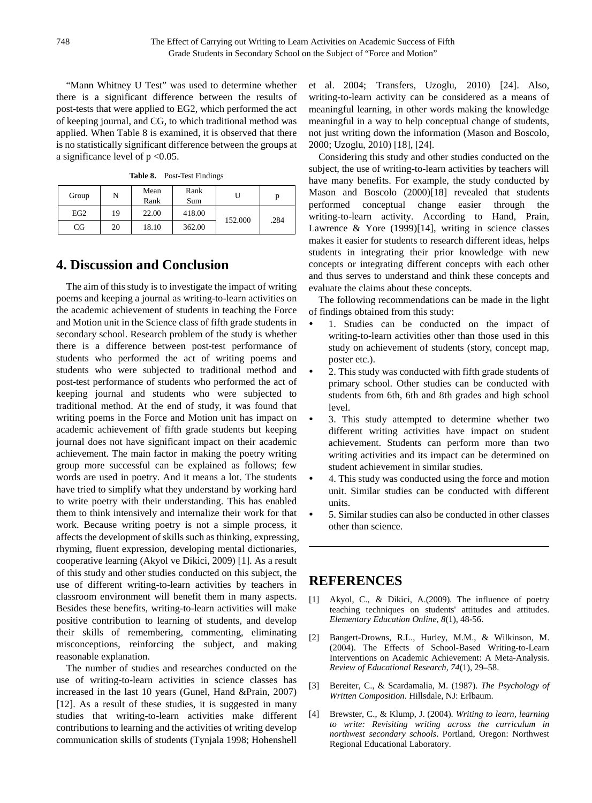"Mann Whitney U Test" was used to determine whether there is a significant difference between the results of post-tests that were applied to EG2, which performed the act of keeping journal, and CG, to which traditional method was applied. When Table 8 is examined, it is observed that there is no statistically significant difference between the groups at a significance level of  $p < 0.05$ .

| Group           | N  | Mean<br>Rank | Rank<br>Sum |         | p    |
|-----------------|----|--------------|-------------|---------|------|
| EG <sub>2</sub> | 19 | 22.00        | 418.00      | 152.000 | .284 |
| CG              | 20 | 18.10        | 362.00      |         |      |

**Table 8.** Post-Test Findings

## **4. Discussion and Conclusion**

The aim of this study is to investigate the impact of writing poems and keeping a journal as writing-to-learn activities on the academic achievement of students in teaching the Force and Motion unit in the Science class of fifth grade students in secondary school. Research problem of the study is whether there is a difference between post-test performance of students who performed the act of writing poems and students who were subjected to traditional method and post-test performance of students who performed the act of keeping journal and students who were subjected to traditional method. At the end of study, it was found that writing poems in the Force and Motion unit has impact on academic achievement of fifth grade students but keeping journal does not have significant impact on their academic achievement. The main factor in making the poetry writing group more successful can be explained as follows; few words are used in poetry. And it means a lot. The students have tried to simplify what they understand by working hard to write poetry with their understanding. This has enabled them to think intensively and internalize their work for that work. Because writing poetry is not a simple process, it affects the development of skills such as thinking, expressing, rhyming, fluent expression, developing mental dictionaries, cooperative learning (Akyol ve Dikici, 2009) [1]. As a result of this study and other studies conducted on this subject, the use of different writing-to-learn activities by teachers in classroom environment will benefit them in many aspects. Besides these benefits, writing-to-learn activities will make positive contribution to learning of students, and develop their skills of remembering, commenting, eliminating misconceptions, reinforcing the subject, and making reasonable explanation.

The number of studies and researches conducted on the use of writing-to-learn activities in science classes has increased in the last 10 years (Gunel, Hand &Prain, 2007) [12]. As a result of these studies, it is suggested in many studies that writing-to-learn activities make different contributions to learning and the activities of writing develop communication skills of students (Tynjala 1998; Hohenshell et al. 2004; Transfers, Uzoglu, 2010) [24]. Also, writing-to-learn activity can be considered as a means of meaningful learning, in other words making the knowledge meaningful in a way to help conceptual change of students, not just writing down the information (Mason and Boscolo, 2000; Uzoglu, 2010) [18], [24].

Considering this study and other studies conducted on the subject, the use of writing-to-learn activities by teachers will have many benefits. For example, the study conducted by Mason and Boscolo (2000)[18] revealed that students performed conceptual change easier through the writing-to-learn activity. According to Hand, Prain, Lawrence & Yore (1999)[14], writing in science classes makes it easier for students to research different ideas, helps students in integrating their prior knowledge with new concepts or integrating different concepts with each other and thus serves to understand and think these concepts and evaluate the claims about these concepts.

The following recommendations can be made in the light of findings obtained from this study:

- 1. Studies can be conducted on the impact of writing-to-learn activities other than those used in this study on achievement of students (story, concept map, poster etc.).
- 2. This study was conducted with fifth grade students of primary school. Other studies can be conducted with students from 6th, 6th and 8th grades and high school level.
- 3. This study attempted to determine whether two different writing activities have impact on student achievement. Students can perform more than two writing activities and its impact can be determined on student achievement in similar studies.
- 4. This study was conducted using the force and motion unit. Similar studies can be conducted with different units.
- 5. Similar studies can also be conducted in other classes other than science.

## **REFERENCES**

- [1] Akyol, C., & Dikici, A.(2009). The influence of poetry teaching techniques on students' attitudes and attitudes. *Elementary Education Online, 8*(1), 48-56.
- [2] Bangert-Drowns, R.L., Hurley, M.M., & Wilkinson, M. (2004). The Effects of School-Based Writing-to-Learn Interventions on Academic Achievement: A Meta-Analysis. *Review of Educational Research, 74*(1), 29–58.
- [3] Bereiter, C., & Scardamalia, M. (1987). *The Psychology of Written Composition*. Hillsdale, NJ: Erlbaum.
- [4] Brewster, C., & Klump, J. (2004). *Writing to learn, learning to write: Revisiting writing across the curriculum in northwest secondary schools*. Portland, Oregon: Northwest Regional Educational Laboratory.